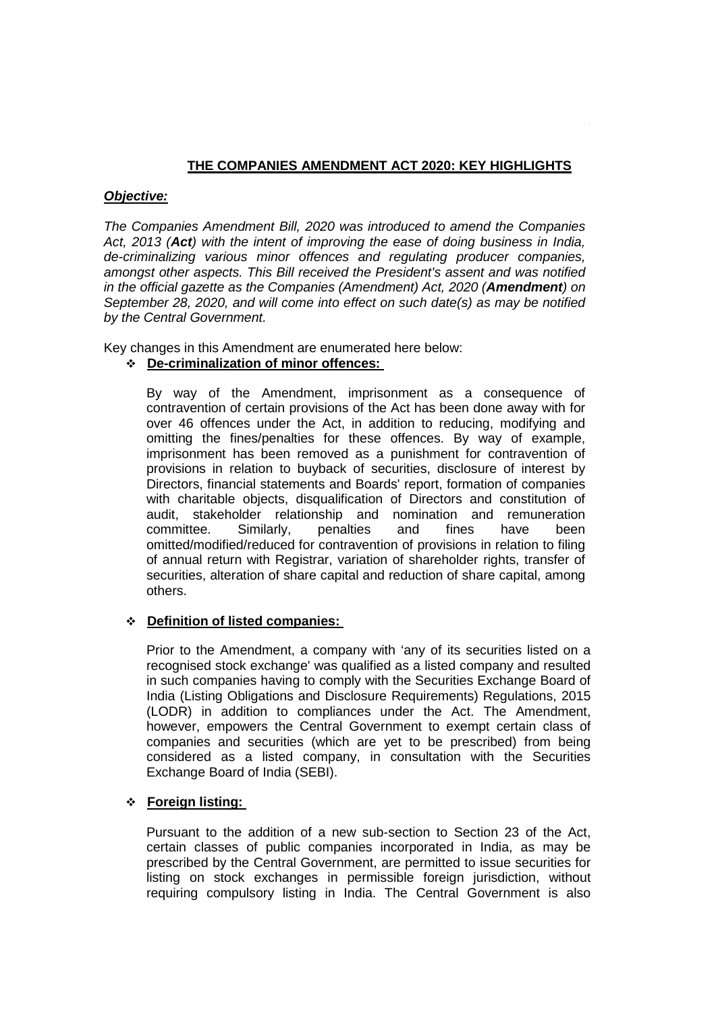## **THE COMPANIES AMENDMENT ACT 2020: KEY HIGHLIGHTS**

**Annexure – A**.

#### *Objective:*

*The Companies Amendment Bill, 2020 was introduced to amend the Companies Act, 2013 (Act) with the intent of improving the ease of doing business in India, de-criminalizing various minor offences and regulating producer companies, amongst other aspects. This Bill received the President's assent and was notified in the official gazette as the Companies (Amendment) Act, 2020 (Amendment) on September 28, 2020, and will come into effect on such date(s) as may be notified by the Central Government.* 

Key changes in this Amendment are enumerated here below:

# **De-criminalization of minor offences:**

By way of the Amendment, imprisonment as a consequence of contravention of certain provisions of the Act has been done away with for over 46 offences under the Act, in addition to reducing, modifying and omitting the fines/penalties for these offences. By way of example, imprisonment has been removed as a punishment for contravention of provisions in relation to buyback of securities, disclosure of interest by Directors, financial statements and Boards' report, formation of companies with charitable objects, disqualification of Directors and constitution of audit, stakeholder relationship and nomination and remuneration committee. Similarly, penalties and fines have been omitted/modified/reduced for contravention of provisions in relation to filing of annual return with Registrar, variation of shareholder rights, transfer of securities, alteration of share capital and reduction of share capital, among others.

## **Definition of listed companies:**

Prior to the Amendment, a company with 'any of its securities listed on a recognised stock exchange' was qualified as a listed company and resulted in such companies having to comply with the Securities Exchange Board of India (Listing Obligations and Disclosure Requirements) Regulations, 2015 (LODR) in addition to compliances under the Act. The Amendment, however, empowers the Central Government to exempt certain class of companies and securities (which are yet to be prescribed) from being considered as a listed company, in consultation with the Securities Exchange Board of India (SEBI).

## **Foreign listing:**

Pursuant to the addition of a new sub-section to Section 23 of the Act, certain classes of public companies incorporated in India, as may be prescribed by the Central Government, are permitted to issue securities for listing on stock exchanges in permissible foreign jurisdiction, without requiring compulsory listing in India. The Central Government is also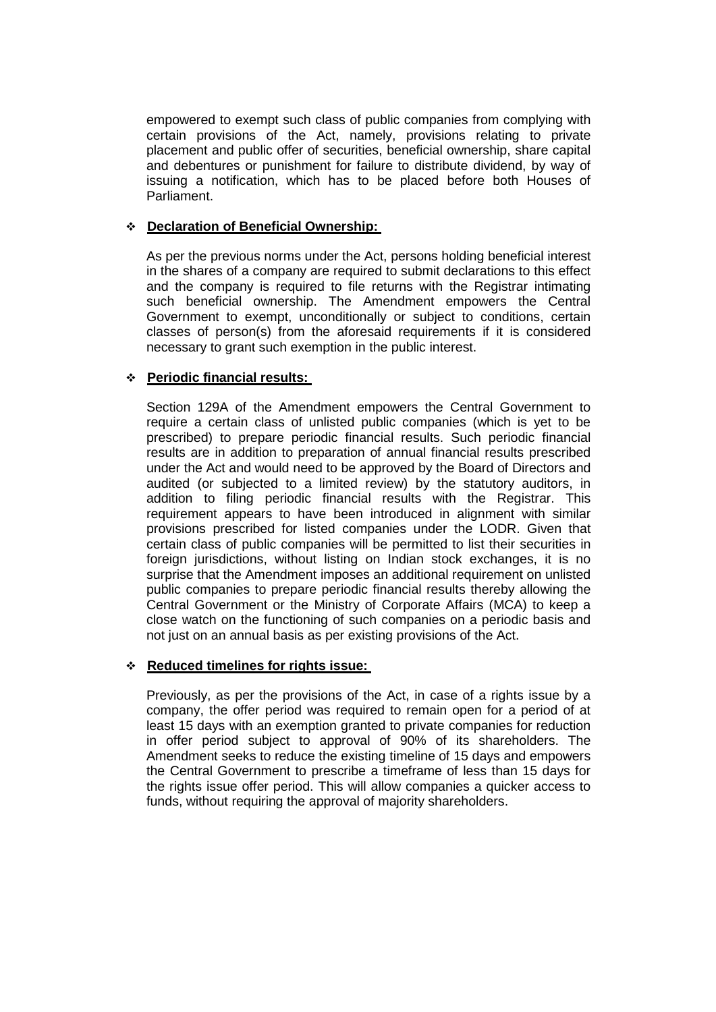empowered to exempt such class of public companies from complying with certain provisions of the Act, namely, provisions relating to private placement and public offer of securities, beneficial ownership, share capital and debentures or punishment for failure to distribute dividend, by way of issuing a notification, which has to be placed before both Houses of Parliament.

#### **Declaration of Beneficial Ownership:**

As per the previous norms under the Act, persons holding beneficial interest in the shares of a company are required to submit declarations to this effect and the company is required to file returns with the Registrar intimating such beneficial ownership. The Amendment empowers the Central Government to exempt, unconditionally or subject to conditions, certain classes of person(s) from the aforesaid requirements if it is considered necessary to grant such exemption in the public interest.

## **Periodic financial results:**

Section 129A of the Amendment empowers the Central Government to require a certain class of unlisted public companies (which is yet to be prescribed) to prepare periodic financial results. Such periodic financial results are in addition to preparation of annual financial results prescribed under the Act and would need to be approved by the Board of Directors and audited (or subjected to a limited review) by the statutory auditors, in addition to filing periodic financial results with the Registrar. This requirement appears to have been introduced in alignment with similar provisions prescribed for listed companies under the LODR. Given that certain class of public companies will be permitted to list their securities in foreign jurisdictions, without listing on Indian stock exchanges, it is no surprise that the Amendment imposes an additional requirement on unlisted public companies to prepare periodic financial results thereby allowing the Central Government or the Ministry of Corporate Affairs (MCA) to keep a close watch on the functioning of such companies on a periodic basis and not just on an annual basis as per existing provisions of the Act.

#### **Reduced timelines for rights issue:**

Previously, as per the provisions of the Act, in case of a rights issue by a company, the offer period was required to remain open for a period of at least 15 days with an exemption granted to private companies for reduction in offer period subject to approval of 90% of its shareholders. The Amendment seeks to reduce the existing timeline of 15 days and empowers the Central Government to prescribe a timeframe of less than 15 days for the rights issue offer period. This will allow companies a quicker access to funds, without requiring the approval of majority shareholders.